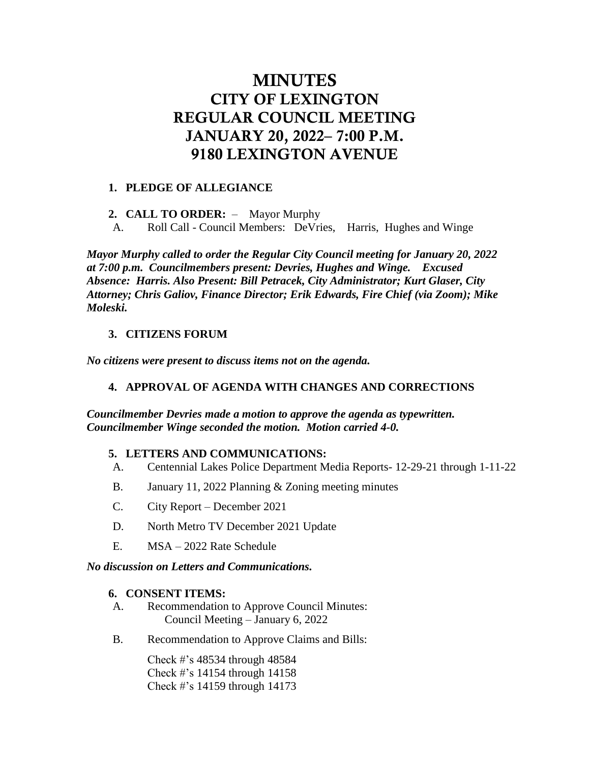# MINUTES CITY OF LEXINGTON REGULAR COUNCIL MEETING JANUARY 20, 2022– 7:00 P.M. 9180 LEXINGTON AVENUE

#### **1. PLEDGE OF ALLEGIANCE**

**2. CALL TO ORDER:** – Mayor Murphy

A. Roll Call - Council Members: DeVries, Harris, Hughes and Winge

*Mayor Murphy called to order the Regular City Council meeting for January 20, 2022 at 7:00 p.m. Councilmembers present: Devries, Hughes and Winge. Excused Absence: Harris. Also Present: Bill Petracek, City Administrator; Kurt Glaser, City Attorney; Chris Galiov, Finance Director; Erik Edwards, Fire Chief (via Zoom); Mike Moleski.*

# **3. CITIZENS FORUM**

*No citizens were present to discuss items not on the agenda.*

# **4. APPROVAL OF AGENDA WITH CHANGES AND CORRECTIONS**

*Councilmember Devries made a motion to approve the agenda as typewritten. Councilmember Winge seconded the motion. Motion carried 4-0.* 

## **5. LETTERS AND COMMUNICATIONS:**

- A. Centennial Lakes Police Department Media Reports- 12-29-21 through 1-11-22
- B. January 11, 2022 Planning & Zoning meeting minutes
- C. City Report December 2021
- D. North Metro TV December 2021 Update
- E. MSA 2022 Rate Schedule

#### *No discussion on Letters and Communications.*

#### **6. CONSENT ITEMS:**

- A. Recommendation to Approve Council Minutes: Council Meeting – January 6, 2022
- B. Recommendation to Approve Claims and Bills:

Check #'s 48534 through 48584 Check #'s 14154 through 14158 Check #'s 14159 through 14173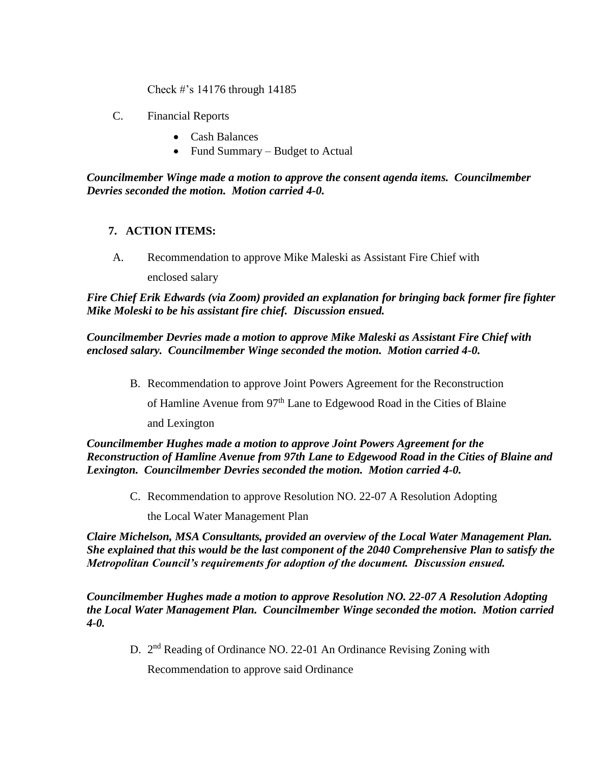Check #'s 14176 through 14185

- C. Financial Reports
	- Cash Balances
	- Fund Summary Budget to Actual

*Councilmember Winge made a motion to approve the consent agenda items. Councilmember Devries seconded the motion. Motion carried 4-0.*

## **7. ACTION ITEMS:**

A. Recommendation to approve Mike Maleski as Assistant Fire Chief with

enclosed salary

*Fire Chief Erik Edwards (via Zoom) provided an explanation for bringing back former fire fighter Mike Moleski to be his assistant fire chief. Discussion ensued.* 

*Councilmember Devries made a motion to approve Mike Maleski as Assistant Fire Chief with enclosed salary. Councilmember Winge seconded the motion. Motion carried 4-0.* 

B. Recommendation to approve Joint Powers Agreement for the Reconstruction

of Hamline Avenue from 97<sup>th</sup> Lane to Edgewood Road in the Cities of Blaine

and Lexington

*Councilmember Hughes made a motion to approve Joint Powers Agreement for the Reconstruction of Hamline Avenue from 97th Lane to Edgewood Road in the Cities of Blaine and Lexington. Councilmember Devries seconded the motion. Motion carried 4-0.* 

C. Recommendation to approve Resolution NO. 22-07 A Resolution Adopting

the Local Water Management Plan

*Claire Michelson, MSA Consultants, provided an overview of the Local Water Management Plan. She explained that this would be the last component of the 2040 Comprehensive Plan to satisfy the Metropolitan Council's requirements for adoption of the document. Discussion ensued.*

*Councilmember Hughes made a motion to approve Resolution NO. 22-07 A Resolution Adopting the Local Water Management Plan. Councilmember Winge seconded the motion. Motion carried 4-0.* 

D. 2<sup>nd</sup> Reading of Ordinance NO. 22-01 An Ordinance Revising Zoning with

Recommendation to approve said Ordinance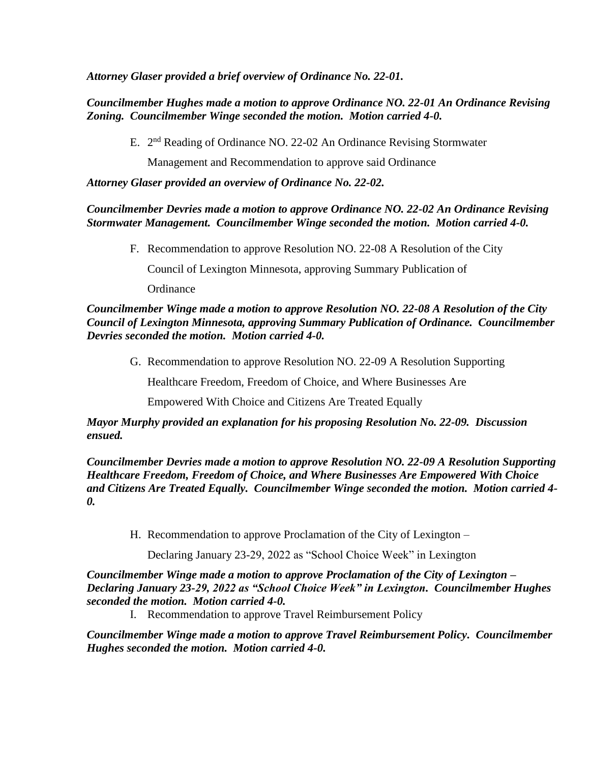*Attorney Glaser provided a brief overview of Ordinance No. 22-01.*

*Councilmember Hughes made a motion to approve Ordinance NO. 22-01 An Ordinance Revising Zoning. Councilmember Winge seconded the motion. Motion carried 4-0.* 

E. 2<sup>nd</sup> Reading of Ordinance NO. 22-02 An Ordinance Revising Stormwater

Management and Recommendation to approve said Ordinance

*Attorney Glaser provided an overview of Ordinance No. 22-02.*

## *Councilmember Devries made a motion to approve Ordinance NO. 22-02 An Ordinance Revising Stormwater Management. Councilmember Winge seconded the motion. Motion carried 4-0.*

F. Recommendation to approve Resolution NO. 22-08 A Resolution of the City

Council of Lexington Minnesota, approving Summary Publication of

**Ordinance** 

#### *Councilmember Winge made a motion to approve Resolution NO. 22-08 A Resolution of the City Council of Lexington Minnesota, approving Summary Publication of Ordinance. Councilmember Devries seconded the motion. Motion carried 4-0.*

G. Recommendation to approve Resolution NO. 22-09 A Resolution Supporting

Healthcare Freedom, Freedom of Choice, and Where Businesses Are

Empowered With Choice and Citizens Are Treated Equally

## *Mayor Murphy provided an explanation for his proposing Resolution No. 22-09. Discussion ensued.*

*Councilmember Devries made a motion to approve Resolution NO. 22-09 A Resolution Supporting Healthcare Freedom, Freedom of Choice, and Where Businesses Are Empowered With Choice and Citizens Are Treated Equally. Councilmember Winge seconded the motion. Motion carried 4- 0.* 

H. Recommendation to approve Proclamation of the City of Lexington –

Declaring January 23-29, 2022 as "School Choice Week" in Lexington

*Councilmember Winge made a motion to approve Proclamation of the City of Lexington – Declaring January 23-29, 2022 as "School Choice Week" in Lexington. Councilmember Hughes seconded the motion. Motion carried 4-0.* 

I. Recommendation to approve Travel Reimbursement Policy

*Councilmember Winge made a motion to approve Travel Reimbursement Policy. Councilmember Hughes seconded the motion. Motion carried 4-0.*